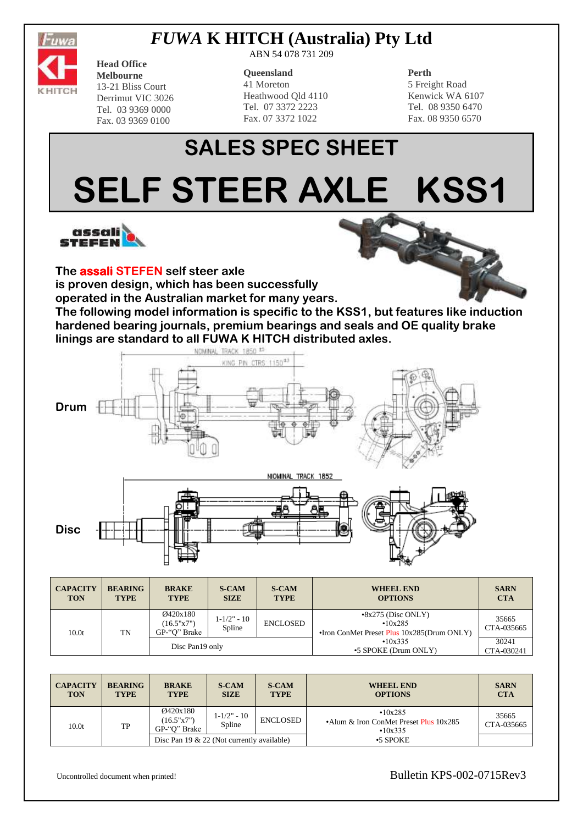

# *FUWA* **K HITCH (Australia) Pty Ltd**

ABN 54 078 731 209

#### **Queensland**

41 Moreton Heathwood Qld 4110 Tel. 07 3372 2223 Fax. 07 3372 1022

### **Perth**

5 Freight Road Kenwick WA 6107 Tel. 08 9350 6470 Fax. 08 9350 6570

# **SALES SPEC SHEET SELF STEER AXLE KSS1**



**Head Office Melbourne** 13-21 Bliss Court Derrimut VIC 3026 Tel. 03 9369 0000 Fax. 03 9369 0100

**The assali STEFEN self steer axle** 

**is proven design, which has been successfully** 

**operated in the Australian market for many years.**

**The following model information is specific to the KSS1, but features like induction hardened bearing journals, premium bearings and seals and OE quality brake linings are standard to all FUWA K HITCH distributed axles.**



| <b>CAPACITY</b><br><b>TON</b> | <b>BEARING</b><br><b>TYPE</b> | <b>BRAKE</b><br><b>TYPE</b>            | <b>S-CAM</b><br><b>SIZE</b> | <b>S-CAM</b><br><b>TYPE</b> | <b>WHEEL END</b><br><b>OPTIONS</b>                                                 | <b>SARN</b><br><b>CTA</b> |
|-------------------------------|-------------------------------|----------------------------------------|-----------------------------|-----------------------------|------------------------------------------------------------------------------------|---------------------------|
| 10.0 <sub>t</sub>             | TN                            | Ø420x180<br>(16.5"x7")<br>GP-"O" Brake | $1 - 1/2" - 10$<br>Spline   | <b>ENCLOSED</b>             | $\cdot 8x275$ (Disc ONLY)<br>•10x285<br>•Iron ConMet Preset Plus 10x285(Drum ONLY) | 35665<br>CTA-035665       |
|                               |                               | Disc Pan19 only                        |                             |                             | •10x335<br>•5 SPOKE (Drum ONLY)                                                    | 30241<br>CTA-030241       |

| <b>CAPACITY</b><br><b>TON</b> | <b>BEARING</b><br><b>TYPE</b> | <b>BRAKE</b><br><b>TYPE</b>                  | <b>S-CAM</b><br><b>SIZE</b> | <b>S-CAM</b><br><b>TYPE</b> | <b>WHEEL END</b><br><b>OPTIONS</b>                           | <b>SARN</b><br><b>CTA</b> |
|-------------------------------|-------------------------------|----------------------------------------------|-----------------------------|-----------------------------|--------------------------------------------------------------|---------------------------|
| 10.0 <sub>t</sub>             | TP                            | Ø420x180<br>(16.5"x7")<br>GP-"O" Brake       | $1 - 1/2" - 10$<br>Spline   | <b>ENCLOSED</b>             | •10x285<br>•Alum & Iron ConMet Preset Plus 10x285<br>•10x335 | 35665<br>CTA-035665       |
|                               |                               | Disc Pan 19 $& 22$ (Not currently available) |                             |                             | $\cdot$ 5 SPOKE                                              |                           |

Uncontrolled document when printed! Bulletin KPS-002-0715Rev3